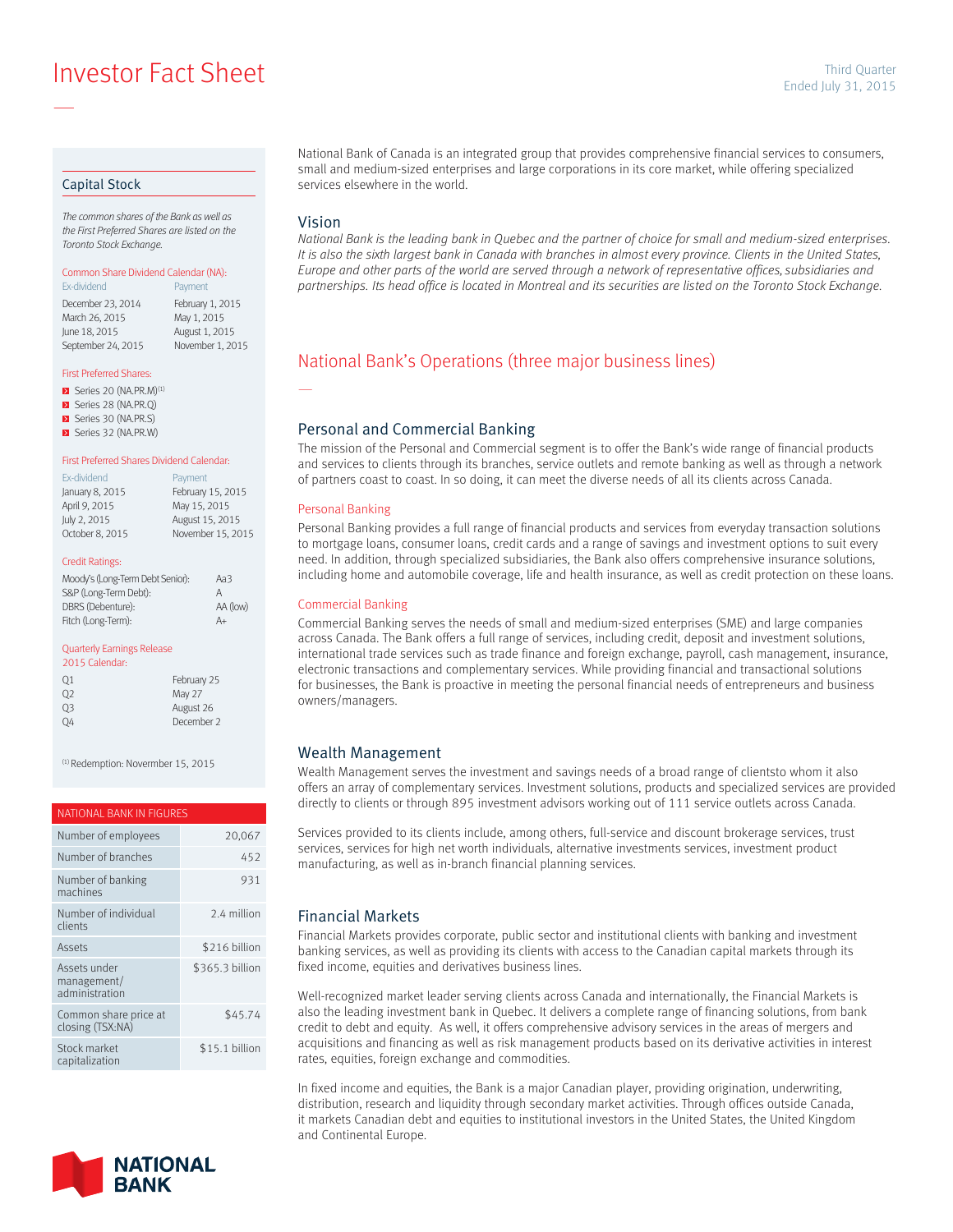**Investor Fact Sheet Ended July 31, 2015** Third Quarter

#### Capital Stock

—

*The common shares of the Bank as well as the First Preferred Shares are listed on the Toronto Stock Exchange.*

### Common Share Dividend Calendar (NA):

Ex-dividend **Payment** December 23, 2014 February 1, 2015<br>March 26, 2015 May 1, 2015 March 26, 2015 June 18, 2015 August 1, 2015 September 24, 2015 November 1, 2015

#### First Preferred Shares:

- $\triangleright$  Series 20 (NA.PR.M)<sup>(1)</sup>
- Series 28 (NA.PR.Q)
- Series 30 (NA.PR.S) Series 32 (NA.PR.W)

# First Preferred Shares Dividend Calendar:

| Ex-dividend     | Payment           |
|-----------------|-------------------|
| January 8, 2015 | February 15, 2015 |
| April 9, 2015   | May 15, 2015      |
| July 2, 2015    | August 15, 2015   |
| October 8, 2015 | November 15, 2015 |
|                 |                   |

#### Credit Ratings:

| Moody's (Long-Term Debt Senior): | Aa3      |
|----------------------------------|----------|
| S&P (Long-Term Debt):            | А        |
| DBRS (Debenture):                | AA (low) |
| Fitch (Long-Term):               | A+       |

#### Quarterly Earnings Release

| 2015 Calendar: |             |
|----------------|-------------|
| 01             | February 25 |
| O <sub>2</sub> | May 27      |
| Q <sub>3</sub> | August 26   |
| 04             | December 2  |

(1) Redemption: Novermber 15, 2015

#### NATIONAL BANK IN FIGURES

| Number of employees                           | 20,067          |
|-----------------------------------------------|-----------------|
| Number of branches                            | 452             |
| Number of banking<br>machines                 | 931             |
| Number of individual<br>clients               | 2.4 million     |
| Assets                                        | \$216 billion   |
| Assets under<br>management/<br>administration | \$365.3 billion |
| Common share price at<br>closing (TSX:NA)     | \$45.74         |
| Stock market<br>capitalization                | \$15.1 billion  |



National Bank of Canada is an integrated group that provides comprehensive financial services to consumers, small and medium-sized enterprises and large corporations in its core market, while offering specialized services elsewhere in the world.

#### Vision

—

*National Bank is the leading bank in Quebec and the partner of choice for small and medium-sized enterprises.*  It is also the sixth largest bank in Canada with branches in almost every province. Clients in the United States, *Europe and other parts of the world are served through a network of representative offices, subsidiaries and partnerships. Its head office is located in Montreal and its securities are listed on the Toronto Stock Exchange.*

# National Bank's Operations (three major business lines)

#### Personal and Commercial Banking

The mission of the Personal and Commercial segment is to offer the Bank's wide range of financial products and services to clients through its branches, service outlets and remote banking as well as through a network of partners coast to coast. In so doing, it can meet the diverse needs of all its clients across Canada.

#### Personal Banking

Personal Banking provides a full range of financial products and services from everyday transaction solutions to mortgage loans, consumer loans, credit cards and a range of savings and investment options to suit every need. In addition, through specialized subsidiaries, the Bank also offers comprehensive insurance solutions, including home and automobile coverage, life and health insurance, as well as credit protection on these loans.

#### Commercial Banking

Commercial Banking serves the needs of small and medium-sized enterprises (SME) and large companies across Canada. The Bank offers a full range of services, including credit, deposit and investment solutions, international trade services such as trade finance and foreign exchange, payroll, cash management, insurance, electronic transactions and complementary services. While providing financial and transactional solutions for businesses, the Bank is proactive in meeting the personal financial needs of entrepreneurs and business owners/managers.

#### Wealth Management

Wealth Management serves the investment and savings needs of a broad range of clientsto whom it also offers an array of complementary services. Investment solutions, products and specialized services are provided directly to clients or through 895 investment advisors working out of 111 service outlets across Canada.

Services provided to its clients include, among others, full-service and discount brokerage services, trust services, services for high net worth individuals, alternative investments services, investment product manufacturing, as well as in-branch financial planning services.

### Financial Markets

Financial Markets provides corporate, public sector and institutional clients with banking and investment banking services, as well as providing its clients with access to the Canadian capital markets through its fixed income, equities and derivatives business lines.

Well-recognized market leader serving clients across Canada and internationally, the Financial Markets is also the leading investment bank in Quebec. It delivers a complete range of financing solutions, from bank credit to debt and equity. As well, it offers comprehensive advisory services in the areas of mergers and acquisitions and financing as well as risk management products based on its derivative activities in interest rates, equities, foreign exchange and commodities.

In fixed income and equities, the Bank is a major Canadian player, providing origination, underwriting, distribution, research and liquidity through secondary market activities. Through offices outside Canada, it markets Canadian debt and equities to institutional investors in the United States, the United Kingdom and Continental Europe.